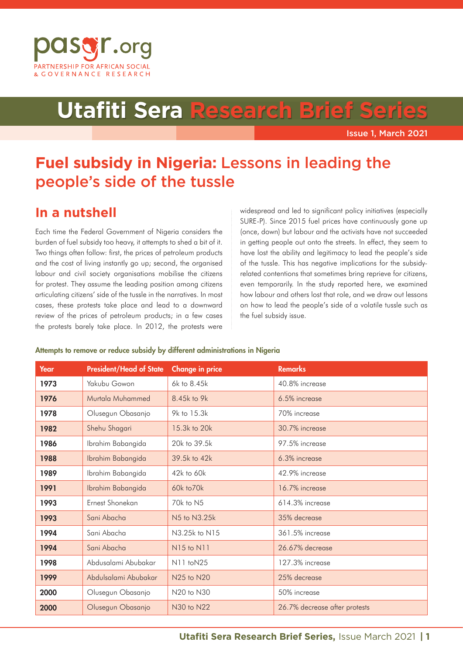

# **Utafiti Sera Research B**

Issue 1, March 2021

## **Fuel subsidy in Nigeria:** Lessons in leading the people's side of the tussle

## **In a nutshell**

Each time the Federal Government of Nigeria considers the burden of fuel subsidy too heavy, it attempts to shed a bit of it. Two things often follow: first, the prices of petroleum products and the cost of living instantly go up; second, the organised labour and civil society organisations mobilise the citizens for protest. They assume the leading position among citizens articulating citizens' side of the tussle in the narratives. In most cases, these protests take place and lead to a downward review of the prices of petroleum products; in a few cases the protests barely take place. In 2012, the protests were

widespread and led to significant policy initiatives (especially SURE-P). Since 2015 fuel prices have continuously gone up (once, down) but labour and the activists have not succeeded in getting people out onto the streets. In effect, they seem to have lost the ability and legitimacy to lead the people's side of the tussle. This has negative implications for the subsidyrelated contentions that sometimes bring reprieve for citizens, even temporarily. In the study reported here, we examined how labour and others lost that role, and we draw out lessons on how to lead the people's side of a volatile tussle such as the fuel subsidy issue.

#### Attempts to remove or reduce subsidy by different administrations in Nigeria

| Year | <b>President/Head of State</b> | <b>Change in price</b> | <b>Remarks</b>                |
|------|--------------------------------|------------------------|-------------------------------|
| 1973 | Yakubu Gowon                   | 6k to 8.45k            | 40.8% increase                |
| 1976 | Murtala Muhammed               | 8.45k to 9k            | 6.5% increase                 |
| 1978 | Olusegun Obasanjo              | 9k to 15.3k            | 70% increase                  |
| 1982 | Shehu Shagari                  | 15.3k to 20k           | 30.7% increase                |
| 1986 | Ibrahim Babangida              | 20k to 39.5k           | 97.5% increase                |
| 1988 | Ibrahim Babangida              | 39.5k to 42k           | 6.3% increase                 |
| 1989 | Ibrahim Babangida              | $42k$ to $60k$         | 42.9% increase                |
| 1991 | Ibrahim Babangida              | 60k to 70k             | 16.7% increase                |
| 1993 | Ernest Shonekan                | 70k to N5              | $614.3\%$ increase            |
| 1993 | Sani Abacha                    | N5 to N3.25k           | 35% decrease                  |
| 1994 | Sani Abacha                    | N3.25k to N15          | 361.5% increase               |
| 1994 | Sani Abacha                    | N15 to N11             | 26.67% decrease               |
| 1998 | Abdusalami Abubakar            | N11 toN25              | 127.3% increase               |
| 1999 | Abdulsalami Abubakar           | N25 to N20             | 25% decrease                  |
| 2000 | Olusegun Obasanjo              | N20 to N30             | 50% increase                  |
| 2000 | Olusegun Obasanjo              | N30 to N22             | 26.7% decrease after protests |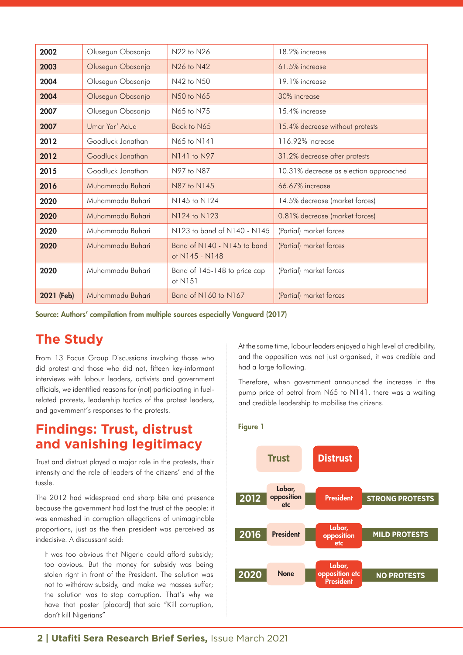| 2002       | Olusegun Obasanjo | N22 to N26                                    | 18.2% increase                         |
|------------|-------------------|-----------------------------------------------|----------------------------------------|
| 2003       | Olusegun Obasanjo | N26 to N42                                    | 61.5% increase                         |
| 2004       | Olusegun Obasanjo | N42 to N50                                    | 19.1% increase                         |
| 2004       | Olusegun Obasanjo | N50 to N65                                    | 30% increase                           |
| 2007       | Olusegun Obasanjo | N65 to N75                                    | 15.4% increase                         |
| 2007       | Umar Yar' Adua    | Back to N65                                   | 15.4% decrease without protests        |
| 2012       | Goodluck Jonathan | N65 to N141                                   | 116.92% increase                       |
| 2012       | Goodluck Jonathan | N141 to N97                                   | 31.2% decrease after protests          |
| 2015       | Goodluck Jonathan | N97 to N87                                    | 10.31% decrease as election approached |
| 2016       | Muhammadu Buhari  | N87 to N145                                   | 66.67% increase                        |
| 2020       | Muhammadu Buhari  | N145 to N124                                  | 14.5% decrease (market forces)         |
| 2020       | Muhammadu Buhari  | N124 to N123                                  | 0.81% decrease (market forces)         |
| 2020       | Muhammadu Buhari  | N123 to band of N140 - N145                   | (Partial) market forces                |
| 2020       | Muhammadu Buhari  | Band of N140 - N145 to band<br>of N145 - N148 | (Partial) market forces                |
| 2020       | Muhammadu Buhari  | Band of 145-148 to price cap<br>of $N151$     | (Partial) market forces                |
| 2021 (Feb) | Muhammadu Buhari  | Band of N160 to N167                          | (Partial) market forces                |

Source: Authors' compilation from multiple sources especially Vanguard (2017)

## **The Study**

From 13 Focus Group Discussions involving those who did protest and those who did not, fifteen key-informant interviews with labour leaders, activists and government officials, we identified reasons for (not) participating in fuelrelated protests, leadership tactics of the protest leaders, and government's responses to the protests.

## **Findings: Trust, distrust and vanishing legitimacy**

Trust and distrust played a major role in the protests, their intensity and the role of leaders of the citizens' end of the tussle.

The 2012 had widespread and sharp bite and presence because the government had lost the trust of the people: it was enmeshed in corruption allegations of unimaginable proportions, just as the then president was perceived as indecisive. A discussant said:

It was too obvious that Nigeria could afford subsidy; too obvious. But the money for subsidy was being stolen right in front of the President. The solution was not to withdraw subsidy, and make we masses suffer; the solution was to stop corruption. That's why we have that poster [placard] that said "Kill corruption, don't kill Nigerians"

At the same time, labour leaders enjoyed a high level of credibility, and the opposition was not just organised, it was credible and had a large following.

Therefore, when government announced the increase in the pump price of petrol from N65 to N141, there was a waiting and credible leadership to mobilise the citizens.



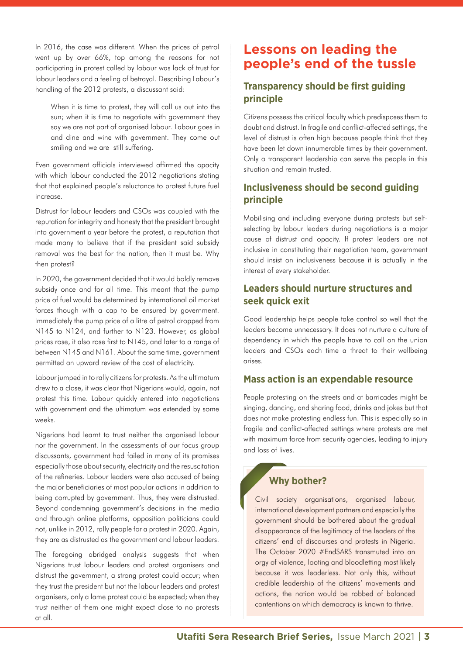In 2016, the case was different. When the prices of petrol went up by over 66%, top among the reasons for not participating in protest called by labour was lack of trust for labour leaders and a feeling of betrayal. Describing Labour's handling of the 2012 protests, a discussant said:

When it is time to protest, they will call us out into the sun; when it is time to negotiate with government they say we are not part of organised labour. Labour goes in and dine and wine with government. They come out smiling and we are still suffering.

Even government officials interviewed affirmed the opacity with which labour conducted the 2012 negotiations stating that that explained people's reluctance to protest future fuel increase.

Distrust for labour leaders and CSOs was coupled with the reputation for integrity and honesty that the president brought into government a year before the protest, a reputation that made many to believe that if the president said subsidy removal was the best for the nation, then it must be. Why then protest?

In 2020, the government decided that it would boldly remove subsidy once and for all time. This meant that the pump price of fuel would be determined by international oil market forces though with a cap to be ensured by government. Immediately the pump price of a litre of petrol dropped from N145 to N124, and further to N123. However, as global prices rose, it also rose first to N145, and later to a range of between N145 and N161. About the same time, government permitted an upward review of the cost of electricity.

Labour jumped in to rally citizens for protests. As the ultimatum drew to a close, it was clear that Nigerians would, again, not protest this time. Labour quickly entered into negotiations with government and the ultimatum was extended by some weeks.

Nigerians had learnt to trust neither the organised labour nor the government. In the assessments of our focus group discussants, government had failed in many of its promises especially those about security, electricity and the resuscitation of the refineries. Labour leaders were also accused of being the major beneficiaries of most popular actions in addition to being corrupted by government. Thus, they were distrusted. Beyond condemning government's decisions in the media and through online platforms, opposition politicians could not, unlike in 2012, rally people for a protest in 2020. Again, they are as distrusted as the government and labour leaders.

The foregoing abridged analysis suggests that when Nigerians trust labour leaders and protest organisers and distrust the government, a strong protest could occur; when they trust the president but not the labour leaders and protest organisers, only a lame protest could be expected; when they trust neither of them one might expect close to no protests at all.

## **Lessons on leading the people's end of the tussle**

#### **Transparency should be first guiding principle**

Citizens possess the critical faculty which predisposes them to doubt and distrust. In fragile and conflict-affected settings, the level of distrust is often high because people think that they have been let down innumerable times by their government. Only a transparent leadership can serve the people in this situation and remain trusted.

#### **Inclusiveness should be second guiding principle**

Mobilising and including everyone during protests but selfselecting by labour leaders during negotiations is a major cause of distrust and opacity. If protest leaders are not inclusive in constituting their negotiation team, government should insist on inclusiveness because it is actually in the interest of every stakeholder.

#### **Leaders should nurture structures and seek quick exit**

Good leadership helps people take control so well that the leaders become unnecessary. It does not nurture a culture of dependency in which the people have to call on the union leaders and CSOs each time a threat to their wellbeing arises.

#### **Mass action is an expendable resource**

People protesting on the streets and at barricades might be singing, dancing, and sharing food, drinks and jokes but that does not make protesting endless fun. This is especially so in fragile and conflict-affected settings where protests are met with maximum force from security agencies, leading to injury and loss of lives.

#### **Why bother?**

Civil society organisations, organised labour, international development partners and especially the government should be bothered about the gradual disappearance of the legitimacy of the leaders of the citizens' end of discourses and protests in Nigeria. The October 2020 #EndSARS transmuted into an orgy of violence, looting and bloodletting most likely because it was leaderless. Not only this, without credible leadership of the citizens' movements and actions, the nation would be robbed of balanced contentions on which democracy is known to thrive.